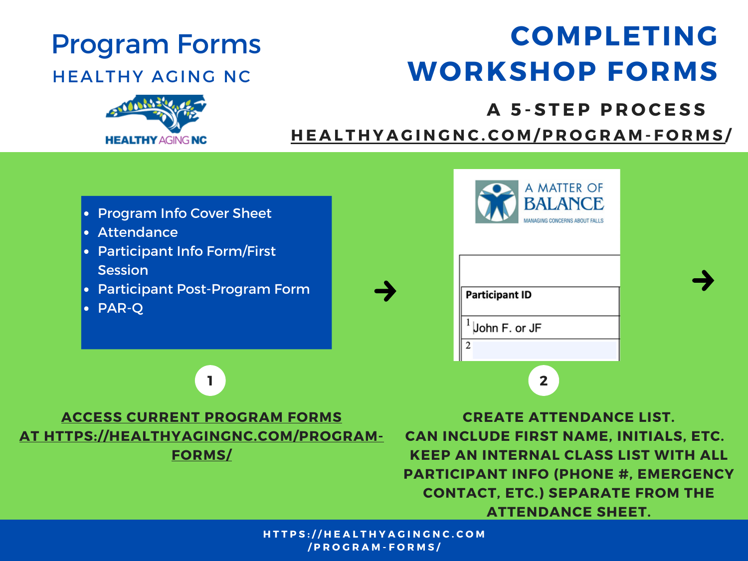## Program Forms

### HEALTHY AGING NC

## **COMPLETING WORKSHOP FORMS**



### **A 5 - S T E P P R O C E S S**

HEALTHYACINGNC.CO[M](http://healthyagingnc.com/program-forms)/PROGRAM-FORMS/



- Attendance
- Participant Info Form/First **Session**
- Participant Post-Program Form
- PAR-Q



| A MATTER OF<br><b>BALANCE</b><br>MANAGING CONCERNS ABOUT FALLS |  |  |  |  |  |
|----------------------------------------------------------------|--|--|--|--|--|
| <b>Participant ID</b>                                          |  |  |  |  |  |
| John F. or JF                                                  |  |  |  |  |  |
| $\overline{c}$                                                 |  |  |  |  |  |
|                                                                |  |  |  |  |  |



**CREATE ATTENDANCE LIST. CAN INCLUDE FIRST NAME, INITIALS, ETC. KEEP AN INTERNAL CLASS LIST WITH ALL PARTICIPANT INFO (PHONE #, EMERGENCY CONTACT, ETC.) SEPARATE FROM THE ATTENDANCE SHEET.**

HTTPS://HEALTHYAGINGNC.COM **/ P R O G R A M - F O R M S /**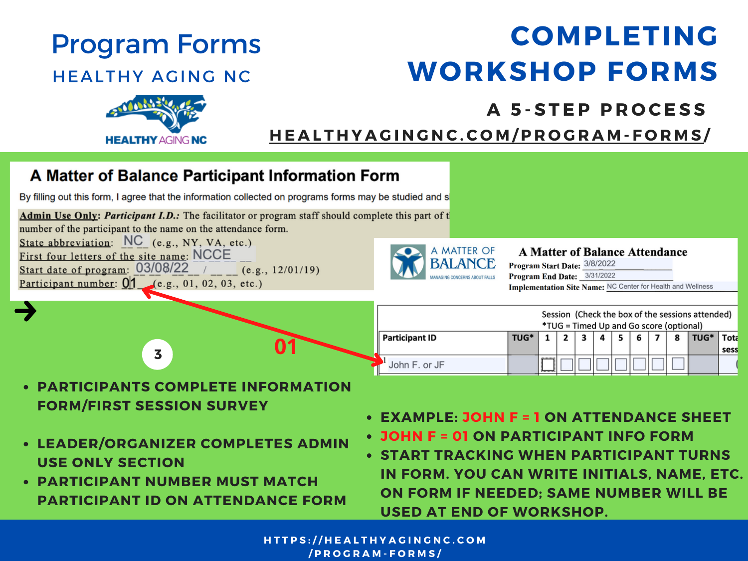## **COMPLETING WORKSHOP FORMS**



### **A 5 - S T E P P R O C E S S**

HEALTHYAGINGNC.CO[M](http://healthyagingnc.com/program-forms)/PROGRAM-FORMS/

| A Matter of Balance Participant Information Form                                                                                                                                                            |                                                                                             |                                                                                                                                                                            |  |  |  |  |  |
|-------------------------------------------------------------------------------------------------------------------------------------------------------------------------------------------------------------|---------------------------------------------------------------------------------------------|----------------------------------------------------------------------------------------------------------------------------------------------------------------------------|--|--|--|--|--|
| By filling out this form, I agree that the information collected on programs forms may be studied and s                                                                                                     |                                                                                             |                                                                                                                                                                            |  |  |  |  |  |
| Admin Use Only: Participant I.D.: The facilitator or program staff should complete this part of t<br>number of the participant to the name on the attendance form.                                          |                                                                                             |                                                                                                                                                                            |  |  |  |  |  |
| State abbreviation: $NC$ (e.g., NY, VA, etc.)<br>First four letters of the site name: NCCE<br>Start date of program: $03/08/22$ /<br>(e.g., 12/01/19)<br>Participant number: $0/1$ (e.g., 01, 02, 03, etc.) | A MATTER OF<br><b>BALANCE</b>                                                               | <b>A Matter of Balance Attendance</b><br>Program Start Date: 3/8/2022<br>Program End Date: 3/31/2022<br>Implementation Site Name: NC Center for Health and Wellness        |  |  |  |  |  |
|                                                                                                                                                                                                             | Session (Check the box of the sessions attended)<br>*TUG = Timed Up and Go score (optional) |                                                                                                                                                                            |  |  |  |  |  |
| 01<br>$\overline{\mathbf{3}}$                                                                                                                                                                               | <b>Participant ID</b><br>John F. or JF                                                      | TUG*<br>Tota<br>TUG*<br>8<br>5<br>6<br>sess                                                                                                                                |  |  |  |  |  |
| <b>PARTICIPANTS COMPLETE INFORMATION</b><br><b>FORM/FIRST SESSION SURVEY</b>                                                                                                                                |                                                                                             | <b>EXAMPLE: JOHN F = 1 ON ATTENDANCE SHEET</b>                                                                                                                             |  |  |  |  |  |
| • LEADER/ORGANIZER COMPLETES ADMIN<br><b>USE ONLY SECTION</b><br><b>PARTICIPANT NUMBER MUST MATCH</b><br>BABTICIBANT IB AN ATTENBANCE FABM                                                                  |                                                                                             | • JOHN F = 01 ON PARTICIPANT INFO FORM<br>• START TRACKING WHEN PARTICIPANT TURNS<br>IN FORM. YOU CAN WRITE INITIALS, NAME, ETC.<br>ON FORM IF NEEDED; SAME NUMBER WILL BE |  |  |  |  |  |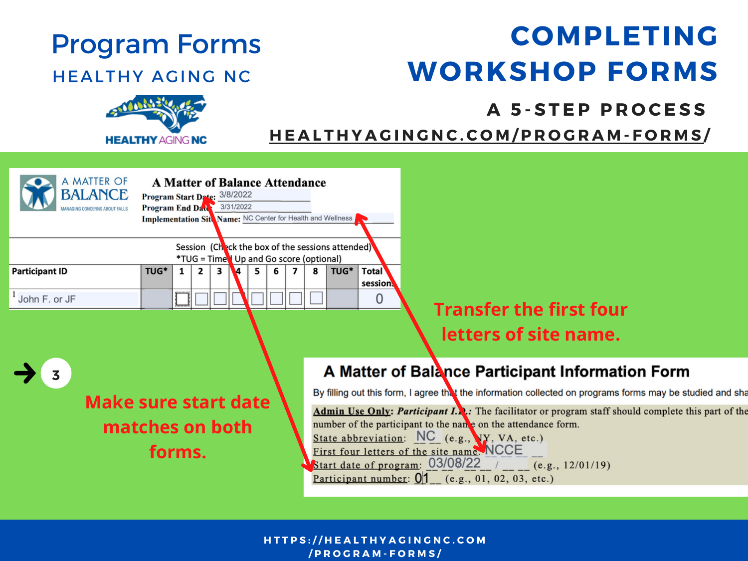## **COMPLETING WORKSHOP FORMS**



### **A 5 - S T E P P R O C E S S**

HEALTHYACINGNC.CO[M](http://healthyagingnc.com/program-forms)/PROGRAM-FORMS/

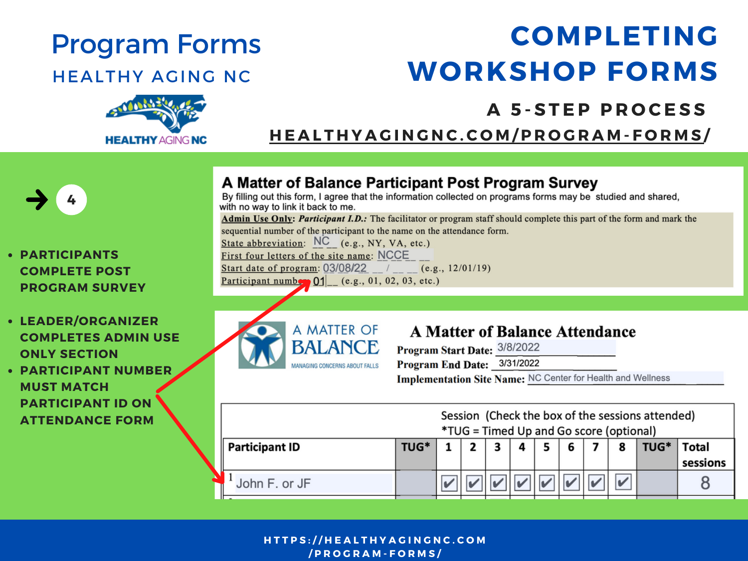## **COMPLETING WORKSHOP FORMS**

# **HEALTHY AGING NC**

**PARTICIPANT ID ON ATTENDANCE FORM**

### **A 5 - S T E P P R O C E S S**

HEALTHYACINGNC.CO[M](http://healthyagingnc.com/program-forms)/PROGRAM-FORMS/

#### A Matter of Balance Participant Post Program Survey By filling out this form. I agree that the information collected on programs forms may be studied and shared. **4** with no way to link it back to me. Admin Use Only: Participant I.D.: The facilitator or program staff should complete this part of the form and mark the sequential number of the participant to the name on the attendance form. State abbreviation: NC (e.g., NY, VA, etc.) First four letters of the site name: NCCE **PARTICIPANTS** Start date of program: 03/08/22 / (e.g., 12/01/19) **COMPLETE POST** Participant number  $01$  (e.g., 01, 02, 03, etc.) **PROGRAM SURVEY LEADER/ORGANIZER** A MATTER OF **COMPLETES ADMIN USE** BALANCE **ONLY SECTION** MANAGING CONCERNS ABOUT FALLS **PARTICIPANT NUMBER MUST MATCH**

**A Matter of Balance Attendance** 

Program Start Date: 3/8/2022

Program End Date: 3/31/2022

Implementation Site Name: NC Center for Health and Wellness

| Session (Check the box of the sessions attended)<br><i>*TUG</i> = Timed Up and Go score (optional) |      |  |  |  |  |  |  |  |      |                   |
|----------------------------------------------------------------------------------------------------|------|--|--|--|--|--|--|--|------|-------------------|
| <b>Participant ID</b>                                                                              | TUG* |  |  |  |  |  |  |  | TUG* | Total<br>sessions |
| John F. or JF                                                                                      |      |  |  |  |  |  |  |  |      |                   |

#### HTTPS://HEALTHYAGINGNC.COM **/ P R O G R A M - F O R M S /**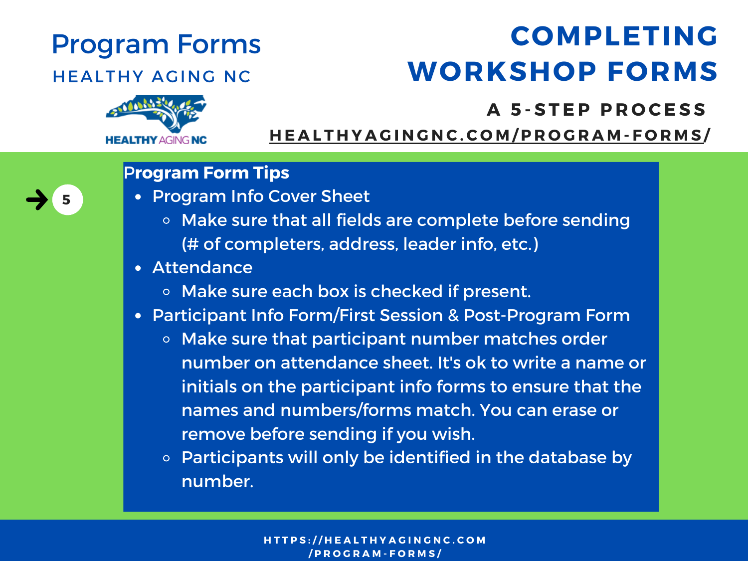## Program Forms

### HEALTHY AGING NC

## **COMPLETING WORKSHOP FORMS**



**5**

### **A 5 - S T E P P R O C E S S**

HEALTHYACINGNC.CO[M](http://healthyagingnc.com/program-forms)/PROGRAM-FORMS/

### P**rogram Form Tips**

- Program Info Cover Sheet
	- **o** Make sure that all fields are complete before sending (# of completers, address, leader info, etc.)
- Attendance
	- o Make sure each box is checked if present.
- Participant Info Form/First Session & Post-Program Form
	- Make sure that participant number matches order number on attendance sheet. It's ok to write a name or initials on the participant info forms to ensure that the names and numbers/forms match. You can erase or remove before sending if you wish.
	- $\circ$  Participants will only be identified in the database by number.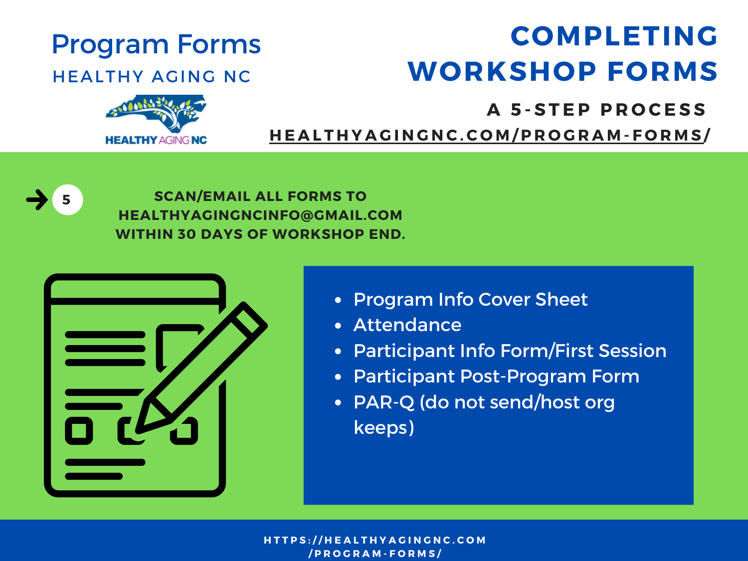## Program Forms

### HEALTHY AGING NC



**HEALTHY AGING NC** 

### **A 5 - S T E P P R O C E S S**

HEALTHYACINGNC.CO[M](http://healthyagingnc.com/program-forms)/PROGRAM-FORMS/



**SCAN/EMAIL ALL FORMS TO HEALTHYAGINGNCINFO@GMAIL.COM WITHIN 30 DAYS OF WORKSHOP END.**



- Program Info Cover Sheet
- Attendance
- Participant Info Form/First Session
- Participant Post-Program Form
- PAR-Q (do not send/host org keeps)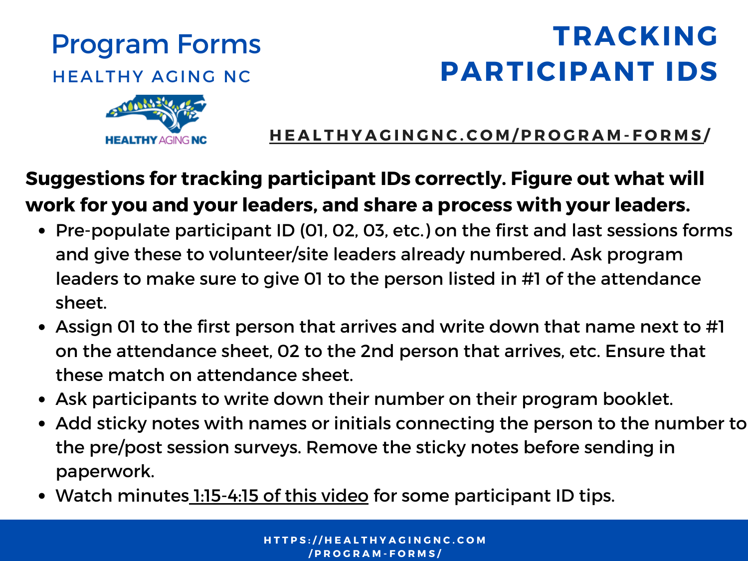## **TRACKING PARTICIPANT IDS**



HEALTHYAGINGNC.CO[M](http://healthyagingnc.com/program-forms)/PROGRAM-FORMS/

## **Suggestions for tracking participant IDs correctly. Figure out what will work for you and your leaders, and share a process with your leaders.**

- Pre-populate participant ID (01, 02, 03, etc.) on the first and last sessions forms and give these to volunteer/site leaders already numbered. Ask program leaders to make sure to give 01 to the person listed in #1 of the attendance sheet.
- Assign 01 to the first person that arrives and write down that name next to #1 on the attendance sheet, 02 to the 2nd person that arrives, etc. Ensure that these match on attendance sheet.
- Ask participants to write down their number on their program booklet.
- Add sticky notes with names or initials connecting the person to the number to the pre/post session surveys. Remove the sticky notes before sending in paperwork.
- Watch minutes [1:15-4:15](https://healthyagingnc.com/program-forms/) of this video for some participant ID tips.